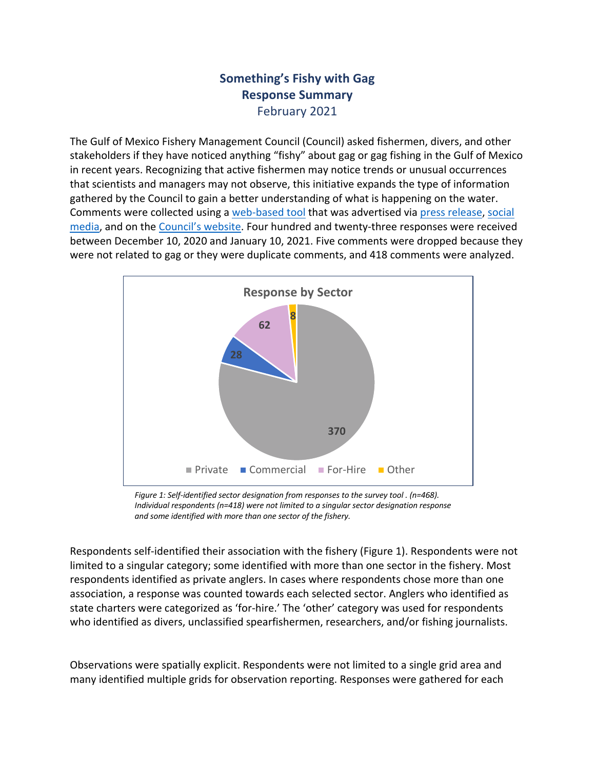## **Something's Fishy with Gag Response Summary** February 2021

The Gulf of Mexico Fishery Management Council (Council) asked fishermen, divers, and other stakeholders if they have noticed anything "fishy" about gag or gag fishing in the Gulf of Mexico in recent years. Recognizing that active fishermen may notice trends or unusual occurrences that scientists and managers may not observe, this initiative expands the type of information gathered by the Council to gain a better understanding of what is happening on the water. Comments were collected using a web-based tool that was advertised via press release, social media, and on the Council's website. Four hundred and twenty-three responses were received between December 10, 2020 and January 10, 2021. Five comments were dropped because they were not related to gag or they were duplicate comments, and 418 comments were analyzed.



*Figure 1: Self-identified sector designation from responses to the survey tool . (n=468). Individual respondents (n=418) were not limited to a singular sector designation response and some identified with more than one sector of the fishery.*

Respondents self-identified their association with the fishery (Figure 1). Respondents were not limited to a singular category; some identified with more than one sector in the fishery. Most respondents identified as private anglers. In cases where respondents chose more than one association, a response was counted towards each selected sector. Anglers who identified as state charters were categorized as 'for-hire.' The 'other' category was used for respondents who identified as divers, unclassified spearfishermen, researchers, and/or fishing journalists.

Observations were spatially explicit. Respondents were not limited to a single grid area and many identified multiple grids for observation reporting. Responses were gathered for each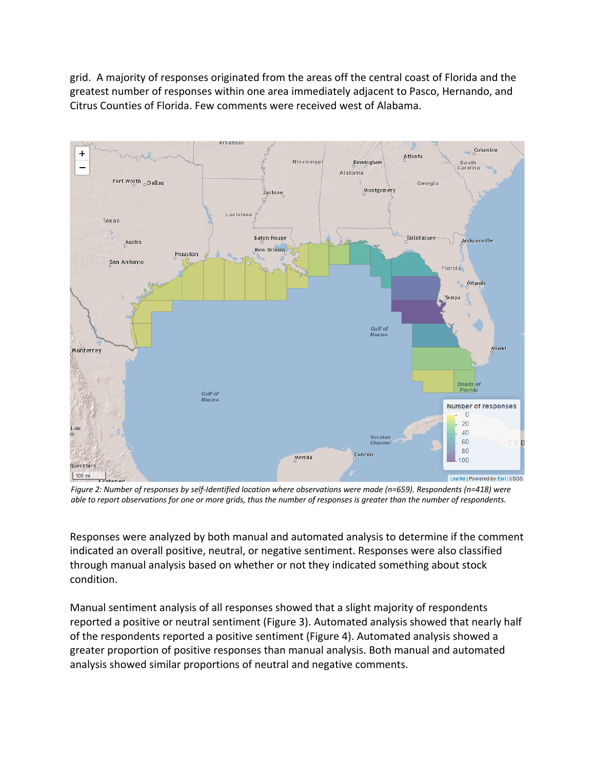grid. A majority of responses originated from the areas off the central coast of Florida and the greatest number of responses within one area immediately adjacent to Pasco, Hernando, and Citrus Counties of Florida. Few comments were received west of Alabama.



*Figure 2: Number of responses by self-Identified location where observations were made (n=659). Respondents (n=418) were able to report observations for one or more grids, thus the number of responses is greater than the number of respondents.*

Responses were analyzed by both manual and automated analysis to determine if the comment indicated an overall positive, neutral, or negative sentiment. Responses were also classified through manual analysis based on whether or not they indicated something about stock condition.

Manual sentiment analysis of all responses showed that a slight majority of respondents reported a positive or neutral sentiment (Figure 3). Automated analysis showed that nearly half of the respondents reported a positive sentiment (Figure 4). Automated analysis showed a greater proportion of positive responses than manual analysis. Both manual and automated analysis showed similar proportions of neutral and negative comments.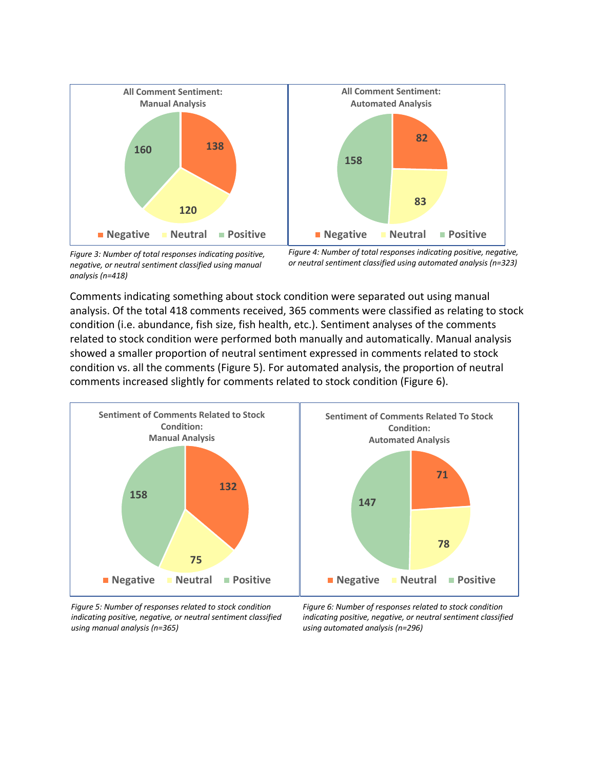

*Figure 3: Number of total responses indicating positive, negative, or neutral sentiment classified using manual analysis (n=418)*

*Figure 4: Number of total responses indicating positive, negative, or neutral sentiment classified using automated analysis (n=323)*

Comments indicating something about stock condition were separated out using manual analysis. Of the total 418 comments received, 365 comments were classified as relating to stock condition (i.e. abundance, fish size, fish health, etc.). Sentiment analyses of the comments related to stock condition were performed both manually and automatically. Manual analysis showed a smaller proportion of neutral sentiment expressed in comments related to stock condition vs. all the comments (Figure 5). For automated analysis, the proportion of neutral comments increased slightly for comments related to stock condition (Figure 6).



*Figure 5: Number of responses related to stock condition indicating positive, negative, or neutral sentiment classified using manual analysis (n=365)*

*Figure 6: Number of responses related to stock condition indicating positive, negative, or neutral sentiment classified using automated analysis (n=296)*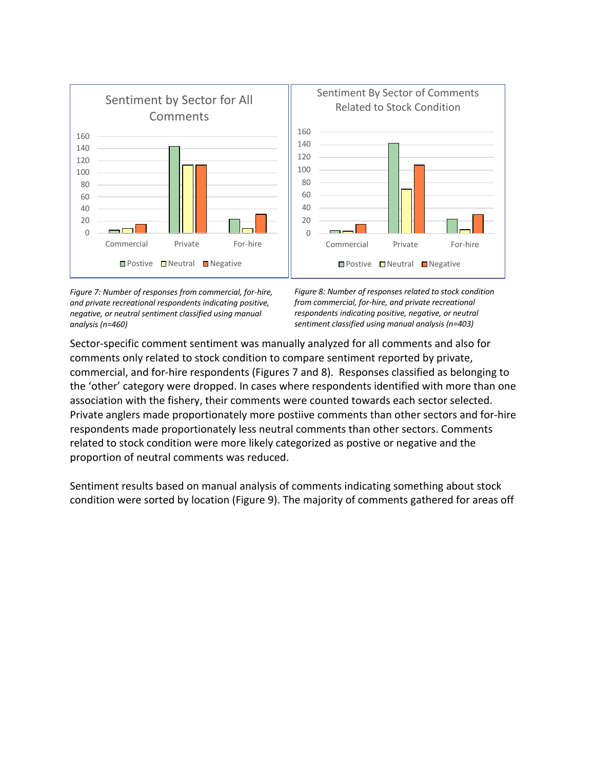

*Figure 7: Number of responses from commercial, for-hire, and private recreational respondents indicating positive, negative, or neutral sentiment classified using manual analysis (n=460)*

*Figure 8: Number of responses related to stock condition from commercial, for-hire, and private recreational respondents indicating positive, negative, or neutral sentiment classified using manual analysis (n=403)*

Sector-specific comment sentiment was manually analyzed for all comments and also for comments only related to stock condition to compare sentiment reported by private, commercial, and for-hire respondents (Figures 7 and 8). Responses classified as belonging to the 'other' category were dropped. In cases where respondents identified with more than one association with the fishery, their comments were counted towards each sector selected. Private anglers made proportionately more postiive comments than other sectors and for-hire respondents made proportionately less neutral comments than other sectors. Comments related to stock condition were more likely categorized as postive or negative and the proportion of neutral comments was reduced.

Sentiment results based on manual analysis of comments indicating something about stock condition were sorted by location (Figure 9). The majority of comments gathered for areas off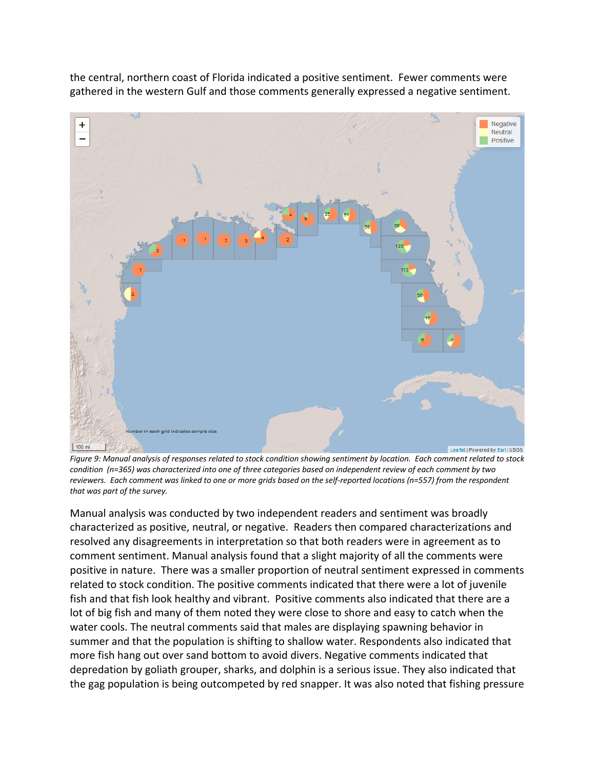the central, northern coast of Florida indicated a positive sentiment. Fewer comments were gathered in the western Gulf and those comments generally expressed a negative sentiment.

![](_page_4_Figure_1.jpeg)

*Figure 9: Manual analysis of responses related to stock condition showing sentiment by location. Each comment related to stock condition (n=365) was characterized into one of three categories based on independent review of each comment by two reviewers. Each comment was linked to one or more grids based on the self-reported locations (n=557) from the respondent that was part of the survey.*

Manual analysis was conducted by two independent readers and sentiment was broadly characterized as positive, neutral, or negative. Readers then compared characterizations and resolved any disagreements in interpretation so that both readers were in agreement as to comment sentiment. Manual analysis found that a slight majority of all the comments were positive in nature. There was a smaller proportion of neutral sentiment expressed in comments related to stock condition. The positive comments indicated that there were a lot of juvenile fish and that fish look healthy and vibrant. Positive comments also indicated that there are a lot of big fish and many of them noted they were close to shore and easy to catch when the water cools. The neutral comments said that males are displaying spawning behavior in summer and that the population is shifting to shallow water. Respondents also indicated that more fish hang out over sand bottom to avoid divers. Negative comments indicated that depredation by goliath grouper, sharks, and dolphin is a serious issue. They also indicated that the gag population is being outcompeted by red snapper. It was also noted that fishing pressure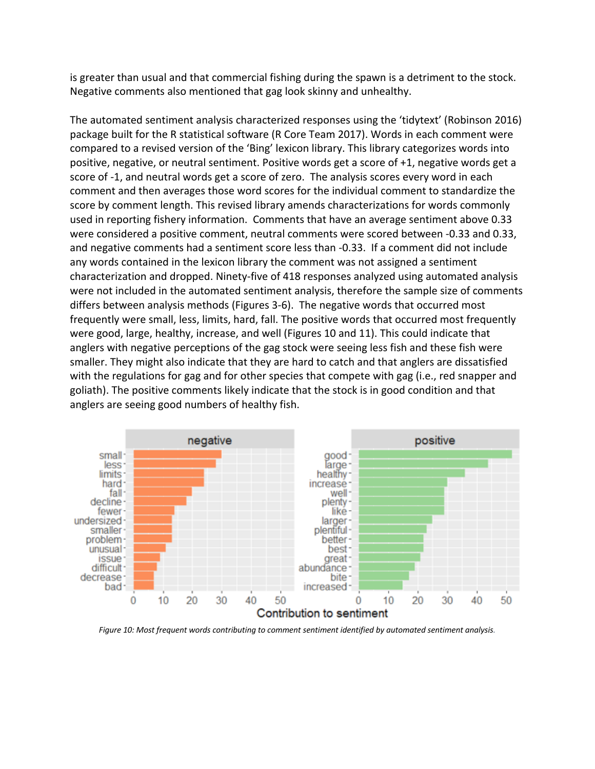is greater than usual and that commercial fishing during the spawn is a detriment to the stock. Negative comments also mentioned that gag look skinny and unhealthy.

The automated sentiment analysis characterized responses using the 'tidytext' (Robinson 2016) package built for the R statistical software (R Core Team 2017). Words in each comment were compared to a revised version of the 'Bing' lexicon library. This library categorizes words into positive, negative, or neutral sentiment. Positive words get a score of +1, negative words get a score of -1, and neutral words get a score of zero. The analysis scores every word in each comment and then averages those word scores for the individual comment to standardize the score by comment length. This revised library amends characterizations for words commonly used in reporting fishery information. Comments that have an average sentiment above 0.33 were considered a positive comment, neutral comments were scored between -0.33 and 0.33, and negative comments had a sentiment score less than -0.33. If a comment did not include any words contained in the lexicon library the comment was not assigned a sentiment characterization and dropped. Ninety-five of 418 responses analyzed using automated analysis were not included in the automated sentiment analysis, therefore the sample size of comments differs between analysis methods (Figures 3-6). The negative words that occurred most frequently were small, less, limits, hard, fall. The positive words that occurred most frequently were good, large, healthy, increase, and well (Figures 10 and 11). This could indicate that anglers with negative perceptions of the gag stock were seeing less fish and these fish were smaller. They might also indicate that they are hard to catch and that anglers are dissatisfied with the regulations for gag and for other species that compete with gag (i.e., red snapper and goliath). The positive comments likely indicate that the stock is in good condition and that anglers are seeing good numbers of healthy fish.

![](_page_5_Figure_2.jpeg)

*Figure 10: Most frequent words contributing to comment sentiment identified by automated sentiment analysis.*